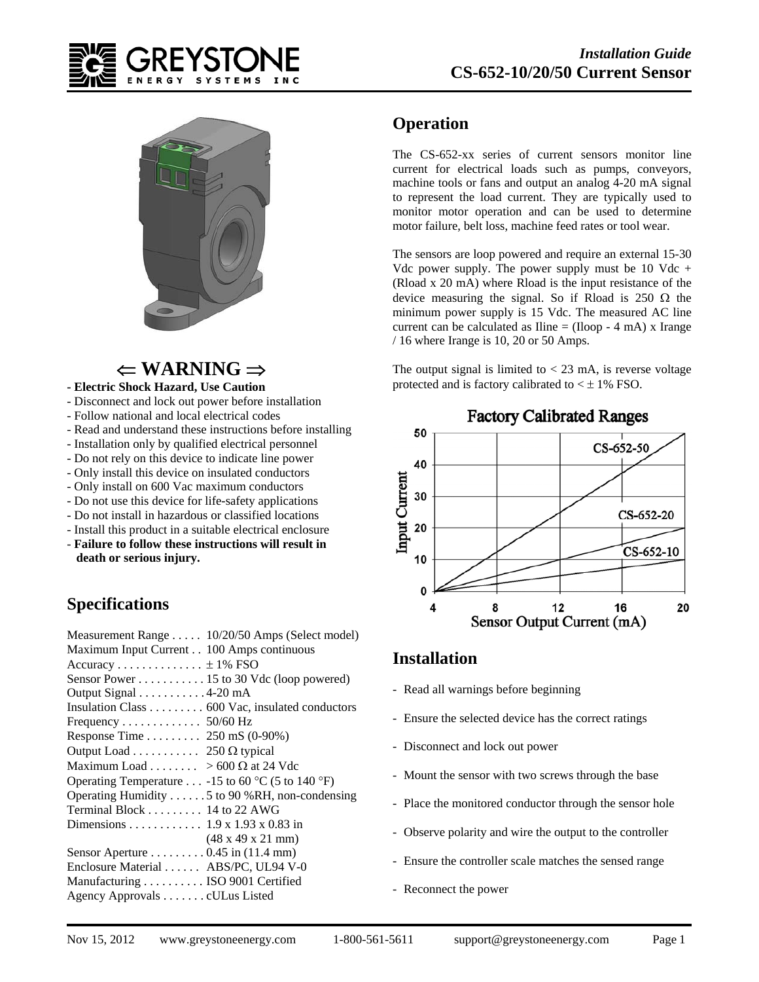



# $\Leftarrow$  WARNING  $\Rightarrow$

#### **- Electric Shock Hazard, Use Caution**

- Disconnect and lock out power before installation
- Follow national and local electrical codes
- Read and understand these instructions before installing
- Installation only by qualified electrical personnel
- Do not rely on this device to indicate line power
- Only install this device on insulated conductors
- Only install on 600 Vac maximum conductors
- Do not use this device for life-safety applications
- Do not install in hazardous or classified locations
- Install this product in a suitable electrical enclosure - **Failure to follow these instructions will result in**

# **death or serious injury.**

### **Specifications**

| Measurement Range 10/20/50 Amps (Select model)     |
|----------------------------------------------------|
| Maximum Input Current 100 Amps continuous          |
| Accuracy $\pm$ 1% FSO                              |
| Sensor Power 15 to 30 Vdc (loop powered)           |
| Output Signal 4-20 mA                              |
| Insulation Class 600 Vac, insulated conductors     |
| Frequency 50/60 Hz                                 |
| Response Time  250 mS $(0-90\%)$                   |
| Output Load 250 $\Omega$ typical                   |
| Maximum Load > 600 $\Omega$ at 24 Vdc              |
| Operating Temperature -15 to 60 °C (5 to 140 °F)   |
| Operating Humidity 5 to 90 %RH, non-condensing     |
| Terminal Block $\ldots \ldots \ldots$ 14 to 22 AWG |
| Dimensions 1.9 x 1.93 x 0.83 in                    |
| $(48 \times 49 \times 21 \text{ mm})$              |
| Sensor Aperture  0.45 in $(11.4 \text{ mm})$       |
| Enclosure Material  ABS/PC, UL94 V-0               |
| Manufacturing  ISO 9001 Certified                  |
| Agency Approvals cULus Listed                      |

#### **Operation**

The CS-652-xx series of current sensors monitor line current for electrical loads such as pumps, conveyors, machine tools or fans and output an analog 4-20 mA signal to represent the load current. They are typically used to monitor motor operation and can be used to determine motor failure, belt loss, machine feed rates or tool wear.

The sensors are loop powered and require an external 15-30 Vdc power supply. The power supply must be 10 Vdc  $+$ (Rload x 20 mA) where Rload is the input resistance of the device measuring the signal. So if Rload is 250  $\Omega$  the minimum power supply is 15 Vdc. The measured AC line current can be calculated as  $\text{line} = (\text{Iloop - 4 mA}) \times \text{Image}$ / 16 where Irange is 10, 20 or 50 Amps.

The output signal is limited to  $<$  23 mA, is reverse voltage protected and is factory calibrated to  $\lt \pm 1\%$  FSO.



#### **Factory Calibrated Ranges**

#### **Installation**

- Read all warnings before beginning
- Ensure the selected device has the correct ratings
- Disconnect and lock out power
- Mount the sensor with two screws through the base
- Place the monitored conductor through the sensor hole
- Observe polarity and wire the output to the controller
- Ensure the controller scale matches the sensed range
- Reconnect the power